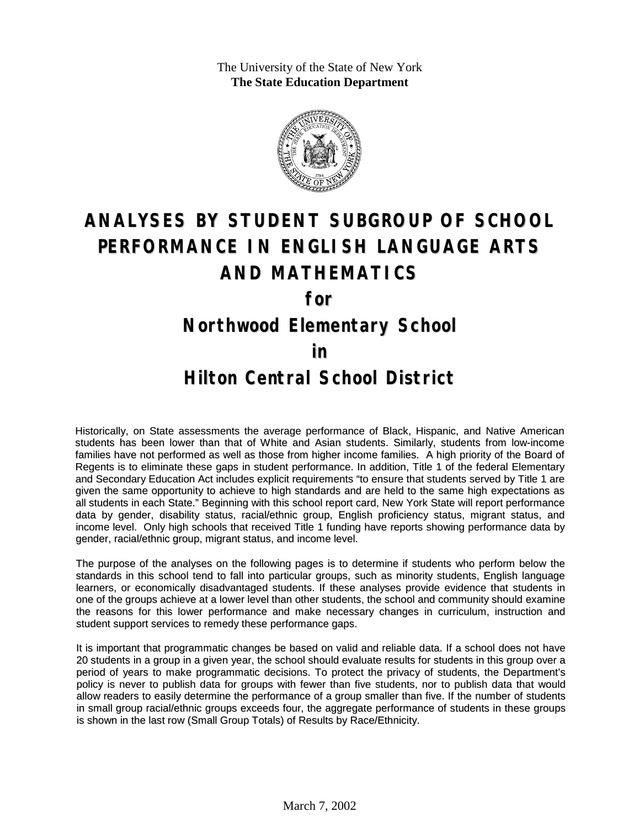The University of the State of New York **The State Education Department**



## **ANALYSES BY STUDENT SUBGROUP OF SCHOOL PERFORMANCE IN ENGLISH LANGUAGE ARTS AND MATHEMATICS**

**for**

**Northwood Elementary School**

**in**

## **Hilton Central School District**

Historically, on State assessments the average performance of Black, Hispanic, and Native American students has been lower than that of White and Asian students. Similarly, students from low-income families have not performed as well as those from higher income families. A high priority of the Board of Regents is to eliminate these gaps in student performance. In addition, Title 1 of the federal Elementary and Secondary Education Act includes explicit requirements "to ensure that students served by Title 1 are given the same opportunity to achieve to high standards and are held to the same high expectations as all students in each State." Beginning with this school report card, New York State will report performance data by gender, disability status, racial/ethnic group, English proficiency status, migrant status, and income level. Only high schools that received Title 1 funding have reports showing performance data by gender, racial/ethnic group, migrant status, and income level.

The purpose of the analyses on the following pages is to determine if students who perform below the standards in this school tend to fall into particular groups, such as minority students, English language learners, or economically disadvantaged students. If these analyses provide evidence that students in one of the groups achieve at a lower level than other students, the school and community should examine the reasons for this lower performance and make necessary changes in curriculum, instruction and student support services to remedy these performance gaps.

It is important that programmatic changes be based on valid and reliable data. If a school does not have 20 students in a group in a given year, the school should evaluate results for students in this group over a period of years to make programmatic decisions. To protect the privacy of students, the Department's policy is never to publish data for groups with fewer than five students, nor to publish data that would allow readers to easily determine the performance of a group smaller than five. If the number of students in small group racial/ethnic groups exceeds four, the aggregate performance of students in these groups is shown in the last row (Small Group Totals) of Results by Race/Ethnicity.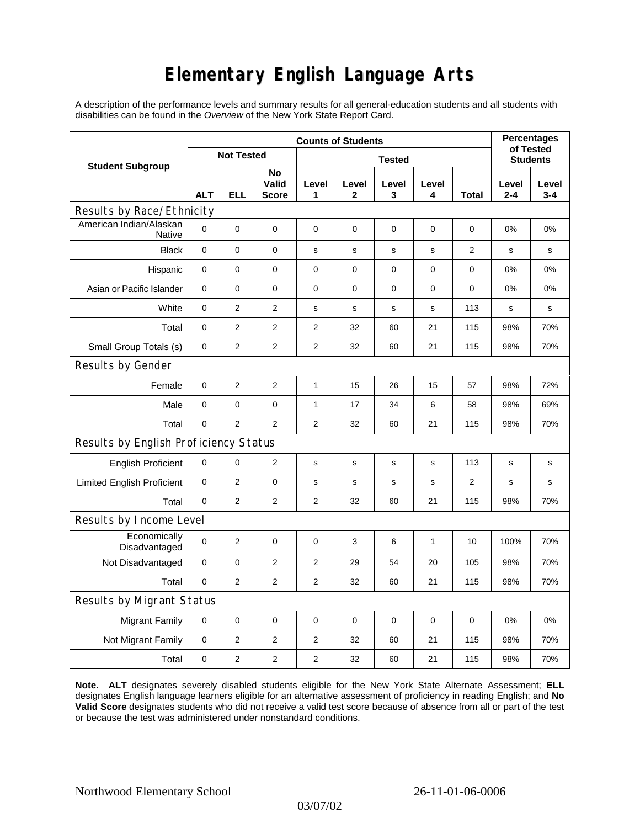## **Elementary English Language Arts**

A description of the performance levels and summary results for all general-education students and all students with disabilities can be found in the *Overview* of the New York State Report Card.

| <b>Student Subgroup</b>                  | <b>Counts of Students</b> |                |                             |                |             |             |             |                | <b>Percentages</b>           |                  |
|------------------------------------------|---------------------------|----------------|-----------------------------|----------------|-------------|-------------|-------------|----------------|------------------------------|------------------|
|                                          | <b>Not Tested</b>         |                |                             | <b>Tested</b>  |             |             |             |                | of Tested<br><b>Students</b> |                  |
|                                          | <b>ALT</b>                | <b>ELL</b>     | No<br>Valid<br><b>Score</b> | Level<br>1     | Level<br>2  | Level<br>3  | Level<br>4  | Total          | Level<br>$2 - 4$             | Level<br>$3 - 4$ |
| Results by Race/Ethnicity                |                           |                |                             |                |             |             |             |                |                              |                  |
| American Indian/Alaskan<br><b>Native</b> | $\mathbf 0$               | 0              | 0                           | $\pmb{0}$      | $\mathbf 0$ | $\mathbf 0$ | 0           | 0              | 0%                           | 0%               |
| <b>Black</b>                             | 0                         | 0              | $\pmb{0}$                   | s              | $\mathbf s$ | $\mathbf s$ | $\mathbf s$ | $\overline{2}$ | s                            | s                |
| Hispanic                                 | 0                         | 0              | $\pmb{0}$                   | $\pmb{0}$      | 0           | 0           | 0           | 0              | 0%                           | 0%               |
| Asian or Pacific Islander                | $\mathbf 0$               | 0              | $\mathbf 0$                 | $\mathbf 0$    | $\mathbf 0$ | 0           | 0           | 0              | 0%                           | 0%               |
| White                                    | $\mathbf 0$               | $\overline{2}$ | $\mathbf{2}$                | s              | s           | s           | s           | 113            | s                            | s                |
| Total                                    | 0                         | $\overline{2}$ | 2                           | 2              | 32          | 60          | 21          | 115            | 98%                          | 70%              |
| Small Group Totals (s)                   | 0                         | 2              | $\mathbf{2}$                | 2              | 32          | 60          | 21          | 115            | 98%                          | 70%              |
| Results by Gender                        |                           |                |                             |                |             |             |             |                |                              |                  |
| Female                                   | $\mathbf 0$               | $\overline{2}$ | $\overline{2}$              | 1              | 15          | 26          | 15          | 57             | 98%                          | 72%              |
| Male                                     | 0                         | 0              | 0                           | 1              | 17          | 34          | 6           | 58             | 98%                          | 69%              |
| Total                                    | 0                         | $\overline{2}$ | 2                           | $\overline{2}$ | 32          | 60          | 21          | 115            | 98%                          | 70%              |
| Results by English Proficiency Status    |                           |                |                             |                |             |             |             |                |                              |                  |
| <b>English Proficient</b>                | 0                         | 0              | $\overline{2}$              | s              | s           | $\mathbf s$ | s           | 113            | s                            | s                |
| <b>Limited English Proficient</b>        | $\mathbf 0$               | $\overline{2}$ | $\pmb{0}$                   | s              | s           | $\mathbf s$ | $\mathbf s$ | $\overline{2}$ | $\mathbf s$                  | s                |
| Total                                    | $\mathbf 0$               | $\overline{2}$ | $\overline{2}$              | $\overline{2}$ | 32          | 60          | 21          | 115            | 98%                          | 70%              |
| Results by Income Level                  |                           |                |                             |                |             |             |             |                |                              |                  |
| Economically<br>Disadvantaged            | $\mathbf 0$               | $\overline{2}$ | $\mathbf 0$                 | 0              | 3           | 6           | 1           | 10             | 100%                         | 70%              |
| Not Disadvantaged                        | $\mathbf 0$               | 0              | $\overline{2}$              | 2              | 29          | 54          | 20          | 105            | 98%                          | 70%              |
| Total                                    | $\mathbf 0$               | $\overline{2}$ | 2                           | $\overline{2}$ | 32          | 60          | 21          | 115            | 98%                          | 70%              |
| Results by Migrant Status                |                           |                |                             |                |             |             |             |                |                              |                  |
| <b>Migrant Family</b>                    | 0                         | 0              | 0                           | $\mathbf 0$    | $\mathbf 0$ | $\mathbf 0$ | $\mathbf 0$ | $\mathbf 0$    | 0%                           | 0%               |
| Not Migrant Family                       | $\mathbf 0$               | $\overline{2}$ | $\mathbf{2}$                | 2              | 32          | 60          | 21          | 115            | 98%                          | 70%              |
| Total                                    | $\mathbf 0$               | 2              | $\overline{2}$              | 2              | 32          | 60          | 21          | 115            | 98%                          | 70%              |

**Note. ALT** designates severely disabled students eligible for the New York State Alternate Assessment; **ELL** designates English language learners eligible for an alternative assessment of proficiency in reading English; and **No Valid Score** designates students who did not receive a valid test score because of absence from all or part of the test or because the test was administered under nonstandard conditions.